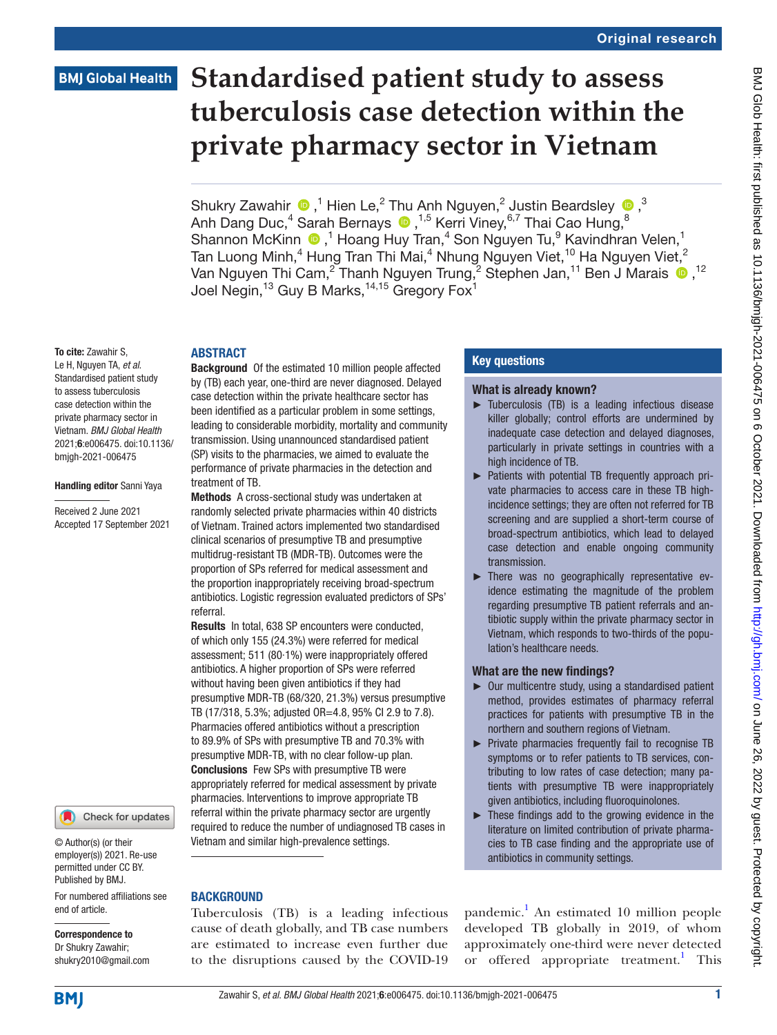# **BMJ Global Health**

# **Standardised patient study to assess tuberculosis case detection within the private pharmacy sector in Vietnam**

ShukryZawahir  $\bigcirc$  ,<sup>1</sup> Hien Le,<sup>2</sup> Thu Anh Nguyen,<sup>2</sup> Justin Beardsley  $\bigcirc$ ,<sup>3</sup> AnhDang Duc,<sup>4</sup> Sarah Bernays ®,<sup>1,5</sup> Kerri Viney,<sup>6,7</sup> Thai Cao Hung,<sup>8</sup> Shannon McKinn <sup>®</sup>,<sup>1</sup> Hoang Huy Tran,<sup>4</sup> Son Nguyen Tu,<sup>9</sup> Kavindhran Velen,<sup>1</sup> Tan Luong Minh, $^4$  Hung Tran Thi Mai, $^4$  Nhung Nguyen Viet, $^{10}$  Ha Nguyen Viet, $^2$ Van Nguyen Thi Cam,<sup>2</sup> Thanh Nguyen Trung,<sup>2</sup> Stephen Jan,<sup>11</sup> Ben J Marais <sup>12</sup> Joel Negin, $^{13}$  Guy B Marks, $^{14,15}$  Gregory Fox $^{1}$ 

#### To cite: Zawahir S,

Le H, Nguyen TA, *et al*. Standardised patient study to assess tuberculosis case detection within the private pharmacy sector in Vietnam. *BMJ Global Health* 2021;6:e006475. doi:10.1136/ bmjgh-2021-006475

#### Handling editor Sanni Yaya

Received 2 June 2021 Accepted 17 September 2021



© Author(s) (or their employer(s)) 2021. Re-use permitted under CC BY. Published by BMJ.

For numbered affiliations see end of article.

#### Correspondence to Dr Shukry Zawahir; shukry2010@gmail.com

ABSTRACT Background Of the estimated 10 million people affected by (TB) each year, one-third are never diagnosed. Delayed case detection within the private healthcare sector has been identified as a particular problem in some settings, leading to considerable morbidity, mortality and community transmission. Using unannounced standardised patient (SP) visits to the pharmacies, we aimed to evaluate the performance of private pharmacies in the detection and treatment of TB.

Methods A cross-sectional study was undertaken at randomly selected private pharmacies within 40 districts of Vietnam. Trained actors implemented two standardised clinical scenarios of presumptive TB and presumptive multidrug-resistant TB (MDR-TB). Outcomes were the proportion of SPs referred for medical assessment and the proportion inappropriately receiving broad-spectrum antibiotics. Logistic regression evaluated predictors of SPs' referral.

Results In total, 638 SP encounters were conducted, of which only 155 (24.3%) were referred for medical assessment; 511 (80·1%) were inappropriately offered antibiotics. A higher proportion of SPs were referred without having been given antibiotics if they had presumptive MDR-TB (68/320, 21.3%) versus presumptive TB (17/318, 5.3%; adjusted OR=4.8, 95% CI 2.9 to 7.8). Pharmacies offered antibiotics without a prescription to 89.9% of SPs with presumptive TB and 70.3% with presumptive MDR-TB, with no clear follow-up plan. Conclusions Few SPs with presumptive TB were appropriately referred for medical assessment by private pharmacies. Interventions to improve appropriate TB referral within the private pharmacy sector are urgently required to reduce the number of undiagnosed TB cases in Vietnam and similar high-prevalence settings.

# **BACKGROUND**

Tuberculosis (TB) is a leading infectious cause of death globally, and TB case numbers are estimated to increase even further due to the disruptions caused by the COVID-19

#### Key questions

#### What is already known?

- ► Tuberculosis (TB) is a leading infectious disease killer globally; control efforts are undermined by inadequate case detection and delayed diagnoses, particularly in private settings in countries with a high incidence of TB.
- ► Patients with potential TB frequently approach private pharmacies to access care in these TB highincidence settings; they are often not referred for TB screening and are supplied a short-term course of broad-spectrum antibiotics, which lead to delayed case detection and enable ongoing community transmission.
- ► There was no geographically representative evidence estimating the magnitude of the problem regarding presumptive TB patient referrals and antibiotic supply within the private pharmacy sector in Vietnam, which responds to two-thirds of the population's healthcare needs.

# What are the new findings?

- ► Our multicentre study, using a standardised patient method, provides estimates of pharmacy referral practices for patients with presumptive TB in the northern and southern regions of Vietnam.
- ► Private pharmacies frequently fail to recognise TB symptoms or to refer patients to TB services, contributing to low rates of case detection; many patients with presumptive TB were inappropriately given antibiotics, including fluoroquinolones.
- ► These findings add to the growing evidence in the literature on limited contribution of private pharmacies to TB case finding and the appropriate use of antibiotics in community settings.

pandemic.<sup>1</sup> An estimated 10 million people developed TB globally in 2019, of whom approximately one-third were never detected or offered appropriate treatment.<sup>[1](#page-10-0)</sup> This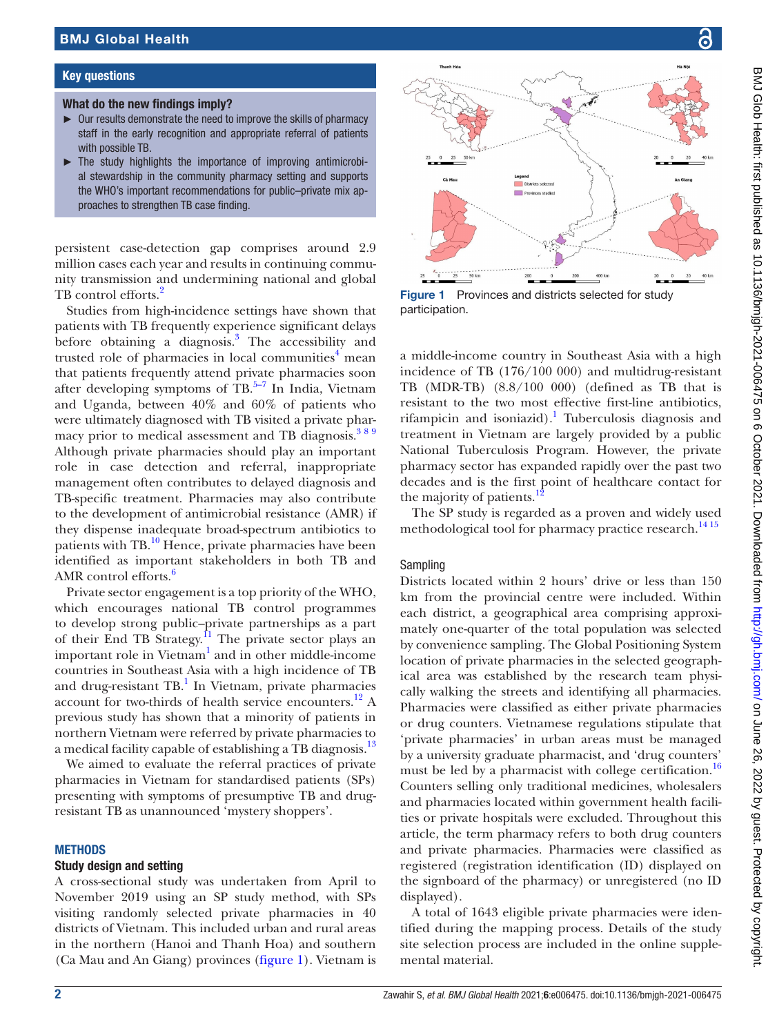#### Key questions

#### What do the new findings imply?

- ► Our results demonstrate the need to improve the skills of pharmacy staff in the early recognition and appropriate referral of patients with possible TB.
- ► The study highlights the importance of improving antimicrobial stewardship in the community pharmacy setting and supports the WHO's important recommendations for public–private mix approaches to strengthen TB case finding.

persistent case-detection gap comprises around 2.9 million cases each year and results in continuing community transmission and undermining national and global TB control efforts.<sup>2</sup>

Studies from high-incidence settings have shown that patients with TB frequently experience significant delays before obtaining a diagnosis.<sup>[3](#page-10-2)</sup> The accessibility and trusted role of pharmacies in local communities<sup>[4](#page-10-3)</sup> mean that patients frequently attend private pharmacies soon after developing symptoms of  $\text{TB}$ .<sup>5–7</sup> In India, Vietnam and Uganda, between 40% and 60% of patients who were ultimately diagnosed with TB visited a private pharmacy prior to medical assessment and TB diagnosis.<sup>389</sup> Although private pharmacies should play an important role in case detection and referral, inappropriate management often contributes to delayed diagnosis and TB-specific treatment. Pharmacies may also contribute to the development of antimicrobial resistance (AMR) if they dispense inadequate broad-spectrum antibiotics to patients with TB.[10](#page-10-5) Hence, private pharmacies have been identified as important stakeholders in both TB and AMR control efforts.<sup>6</sup>

Private sector engagement is a top priority of the WHO, which encourages national TB control programmes to develop strong public–private partnerships as a part of their End TB Strategy.<sup>11</sup> The private sector plays an important role in Vietnam<sup>[1](#page-10-0)</sup> and in other middle-income countries in Southeast Asia with a high incidence of TB and drug-resistant TB.<sup>1</sup> In Vietnam, private pharmacies account for two-thirds of health service encounters.<sup>12</sup> A previous study has shown that a minority of patients in northern Vietnam were referred by private pharmacies to a medical facility capable of establishing a TB diagnosis.<sup>[13](#page-10-9)</sup>

We aimed to evaluate the referral practices of private pharmacies in Vietnam for standardised patients (SPs) presenting with symptoms of presumptive TB and drugresistant TB as unannounced 'mystery shoppers'.

#### **METHODS**

#### Study design and setting

A cross-sectional study was undertaken from April to November 2019 using an SP study method, with SPs visiting randomly selected private pharmacies in 40 districts of Vietnam. This included urban and rural areas in the northern (Hanoi and Thanh Hoa) and southern (Ca Mau and An Giang) provinces [\(figure](#page-1-0) 1). Vietnam is



<span id="page-1-0"></span>Figure 1 Provinces and districts selected for study participation.

a middle-income country in Southeast Asia with a high incidence of TB (176/100 000) and multidrug-resistant TB (MDR-TB) (8.8/100 000) (defined as TB that is resistant to the two most effective first-line antibiotics, rifampicin and isoniazid).<sup>[1](#page-10-0)</sup> Tuberculosis diagnosis and treatment in Vietnam are largely provided by a public National Tuberculosis Program. However, the private pharmacy sector has expanded rapidly over the past two decades and is the first point of healthcare contact for the majority of patients.<sup>1</sup>

The SP study is regarded as a proven and widely used methodological tool for pharmacy practice research.<sup>14 15</sup>

# Sampling

Districts located within 2 hours' drive or less than 150 km from the provincial centre were included. Within each district, a geographical area comprising approximately one-quarter of the total population was selected by convenience sampling. The Global Positioning System location of private pharmacies in the selected geographical area was established by the research team physically walking the streets and identifying all pharmacies. Pharmacies were classified as either private pharmacies or drug counters. Vietnamese regulations stipulate that 'private pharmacies' in urban areas must be managed by a university graduate pharmacist, and 'drug counters' must be led by a pharmacist with college certification.<sup>16</sup> Counters selling only traditional medicines, wholesalers and pharmacies located within government health facilities or private hospitals were excluded. Throughout this article, the term pharmacy refers to both drug counters and private pharmacies. Pharmacies were classified as registered (registration identification (ID) displayed on the signboard of the pharmacy) or unregistered (no ID displayed).

A total of 1643 eligible private pharmacies were identified during the mapping process. Details of the study site selection process are included in the [online supple](https://dx.doi.org/10.1136/bmjgh-2021-006475)[mental material.](https://dx.doi.org/10.1136/bmjgh-2021-006475)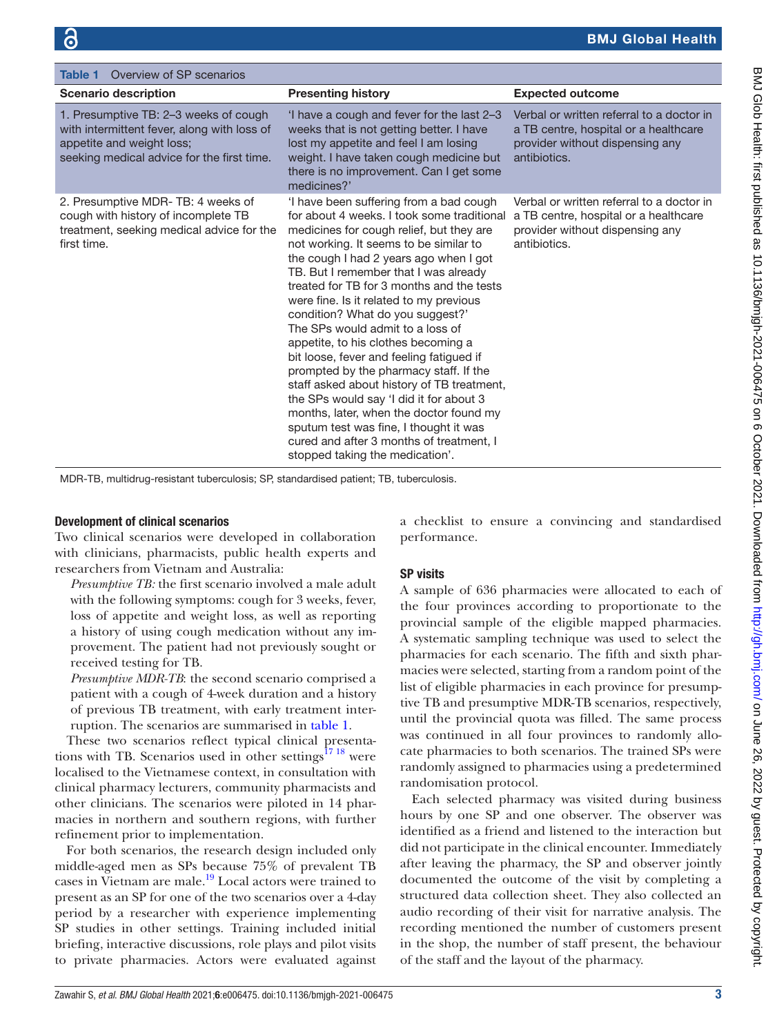<span id="page-2-0"></span>

| Overview of SP scenarios<br><b>Table 1</b>                                                                                                                      |                                                                                                                                                                                                                                                                                                                                                                                                                                                                                                                                                                                                                                                                                                                                                                                                                         |                                                                                                                                       |
|-----------------------------------------------------------------------------------------------------------------------------------------------------------------|-------------------------------------------------------------------------------------------------------------------------------------------------------------------------------------------------------------------------------------------------------------------------------------------------------------------------------------------------------------------------------------------------------------------------------------------------------------------------------------------------------------------------------------------------------------------------------------------------------------------------------------------------------------------------------------------------------------------------------------------------------------------------------------------------------------------------|---------------------------------------------------------------------------------------------------------------------------------------|
| <b>Scenario description</b>                                                                                                                                     | <b>Presenting history</b>                                                                                                                                                                                                                                                                                                                                                                                                                                                                                                                                                                                                                                                                                                                                                                                               | <b>Expected outcome</b>                                                                                                               |
| 1. Presumptive TB: 2-3 weeks of cough<br>with intermittent fever, along with loss of<br>appetite and weight loss;<br>seeking medical advice for the first time. | 'I have a cough and fever for the last 2-3<br>weeks that is not getting better. I have<br>lost my appetite and feel I am losing<br>weight. I have taken cough medicine but<br>there is no improvement. Can I get some<br>medicines?'                                                                                                                                                                                                                                                                                                                                                                                                                                                                                                                                                                                    | Verbal or written referral to a doctor in<br>a TB centre, hospital or a healthcare<br>provider without dispensing any<br>antibiotics. |
| 2. Presumptive MDR-TB: 4 weeks of<br>cough with history of incomplete TB<br>treatment, seeking medical advice for the<br>first time.                            | I have been suffering from a bad cough<br>for about 4 weeks. I took some traditional<br>medicines for cough relief, but they are<br>not working. It seems to be similar to<br>the cough I had 2 years ago when I got<br>TB. But I remember that I was already<br>treated for TB for 3 months and the tests<br>were fine. Is it related to my previous<br>condition? What do you suggest?'<br>The SPs would admit to a loss of<br>appetite, to his clothes becoming a<br>bit loose, fever and feeling fatigued if<br>prompted by the pharmacy staff. If the<br>staff asked about history of TB treatment,<br>the SPs would say 'I did it for about 3<br>months, later, when the doctor found my<br>sputum test was fine, I thought it was<br>cured and after 3 months of treatment, I<br>stopped taking the medication'. | Verbal or written referral to a doctor in<br>a TB centre, hospital or a healthcare<br>provider without dispensing any<br>antibiotics. |

MDR-TB, multidrug-resistant tuberculosis; SP, standardised patient; TB, tuberculosis.

#### Development of clinical scenarios

Two clinical scenarios were developed in collaboration with clinicians, pharmacists, public health experts and researchers from Vietnam and Australia:

*Presumptive TB:* the first scenario involved a male adult with the following symptoms: cough for 3 weeks, fever, loss of appetite and weight loss, as well as reporting a history of using cough medication without any improvement. The patient had not previously sought or received testing for TB.

*Presumptive MDR-TB*: the second scenario comprised a patient with a cough of 4-week duration and a history of previous TB treatment, with early treatment interruption. The scenarios are summarised in [table](#page-2-0) 1.

These two scenarios reflect typical clinical presentations with TB. Scenarios used in other settings $1718$  were localised to the Vietnamese context, in consultation with clinical pharmacy lecturers, community pharmacists and other clinicians. The scenarios were piloted in 14 pharmacies in northern and southern regions, with further refinement prior to implementation.

For both scenarios, the research design included only middle-aged men as SPs because 75% of prevalent TB cases in Vietnam are male.<sup>[19](#page-10-13)</sup> Local actors were trained to present as an SP for one of the two scenarios over a 4-day period by a researcher with experience implementing SP studies in other settings. Training included initial briefing, interactive discussions, role plays and pilot visits to private pharmacies. Actors were evaluated against

a checklist to ensure a convincing and standardised performance.

# SP visits

A sample of 636 pharmacies were allocated to each of the four provinces according to proportionate to the provincial sample of the eligible mapped pharmacies. A systematic sampling technique was used to select the pharmacies for each scenario. The fifth and sixth pharmacies were selected, starting from a random point of the list of eligible pharmacies in each province for presumptive TB and presumptive MDR-TB scenarios, respectively, until the provincial quota was filled. The same process was continued in all four provinces to randomly allocate pharmacies to both scenarios. The trained SPs were randomly assigned to pharmacies using a predetermined randomisation protocol.

Each selected pharmacy was visited during business hours by one SP and one observer. The observer was identified as a friend and listened to the interaction but did not participate in the clinical encounter. Immediately after leaving the pharmacy, the SP and observer jointly documented the outcome of the visit by completing a structured data collection sheet. They also collected an audio recording of their visit for narrative analysis. The recording mentioned the number of customers present in the shop, the number of staff present, the behaviour of the staff and the layout of the pharmacy.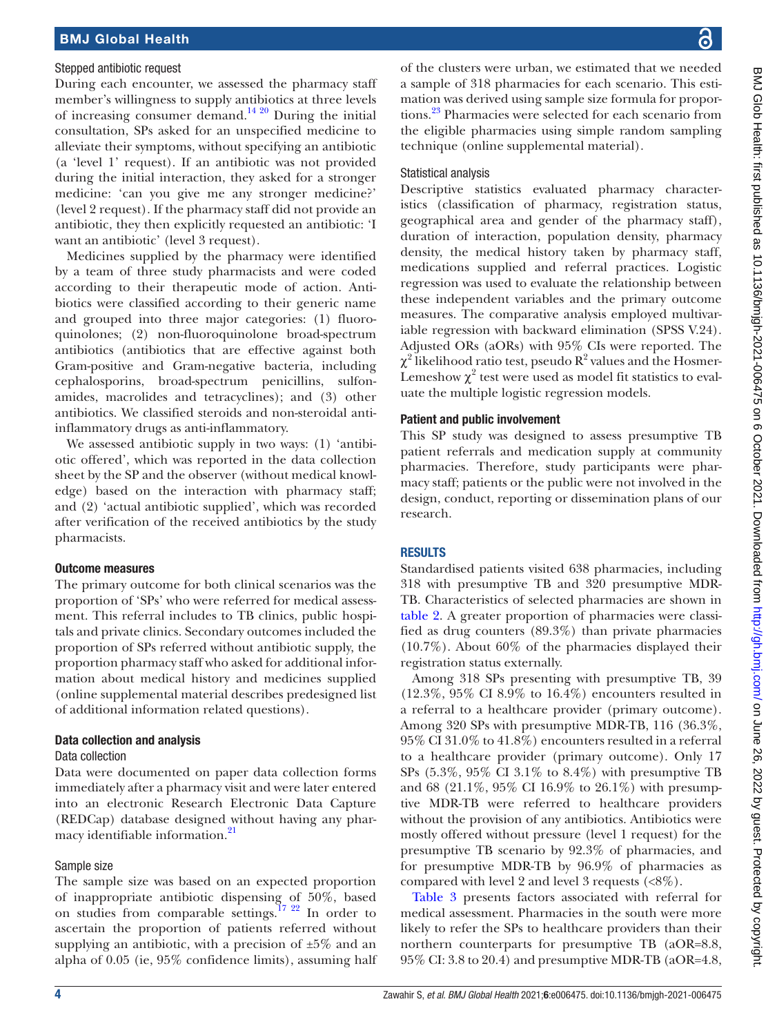#### Stepped antibiotic request

During each encounter, we assessed the pharmacy staff member's willingness to supply antibiotics at three levels of increasing consumer demand.<sup>14 20</sup> During the initial consultation, SPs asked for an unspecified medicine to alleviate their symptoms, without specifying an antibiotic (a 'level 1' request). If an antibiotic was not provided during the initial interaction, they asked for a stronger medicine: 'can you give me any stronger medicine?' (level 2 request). If the pharmacy staff did not provide an antibiotic, they then explicitly requested an antibiotic: 'I want an antibiotic' (level 3 request).

Medicines supplied by the pharmacy were identified by a team of three study pharmacists and were coded according to their therapeutic mode of action. Antibiotics were classified according to their generic name and grouped into three major categories: (1) fluoroquinolones; (2) non-fluoroquinolone broad-spectrum antibiotics (antibiotics that are effective against both Gram-positive and Gram-negative bacteria, including cephalosporins, broad-spectrum penicillins, sulfonamides, macrolides and tetracyclines); and (3) other antibiotics. We classified steroids and non-steroidal antiinflammatory drugs as anti-inflammatory.

We assessed antibiotic supply in two ways: (1) 'antibiotic offered', which was reported in the data collection sheet by the SP and the observer (without medical knowledge) based on the interaction with pharmacy staff; and (2) 'actual antibiotic supplied', which was recorded after verification of the received antibiotics by the study pharmacists.

# Outcome measures

The primary outcome for both clinical scenarios was the proportion of 'SPs' who were referred for medical assessment. This referral includes to TB clinics, public hospitals and private clinics. Secondary outcomes included the proportion of SPs referred without antibiotic supply, the proportion pharmacy staff who asked for additional information about medical history and medicines supplied ([online supplemental material](https://dx.doi.org/10.1136/bmjgh-2021-006475) describes predesigned list of additional information related questions).

# Data collection and analysis

#### Data collection

Data were documented on paper data collection forms immediately after a pharmacy visit and were later entered into an electronic Research Electronic Data Capture (REDCap) database designed without having any phar-macy identifiable information.<sup>[21](#page-10-14)</sup>

# Sample size

The sample size was based on an expected proportion of inappropriate antibiotic dispensing of 50%, based on studies from comparable settings.[17 22](#page-10-12) In order to ascertain the proportion of patients referred without supplying an antibiotic, with a precision of  $\pm 5\%$  and an alpha of 0.05 (ie, 95% confidence limits), assuming half

of the clusters were urban, we estimated that we needed a sample of 318 pharmacies for each scenario. This estimation was derived using sample size formula for proportions.<sup>23</sup> Pharmacies were selected for each scenario from the eligible pharmacies using simple random sampling technique [\(online supplemental material\)](https://dx.doi.org/10.1136/bmjgh-2021-006475).

# Statistical analysis

Descriptive statistics evaluated pharmacy characteristics (classification of pharmacy, registration status, geographical area and gender of the pharmacy staff), duration of interaction, population density, pharmacy density, the medical history taken by pharmacy staff, medications supplied and referral practices. Logistic regression was used to evaluate the relationship between these independent variables and the primary outcome measures. The comparative analysis employed multivariable regression with backward elimination (SPSS V.24). Adjusted ORs (aORs) with 95% CIs were reported. The  $\chi^2$  likelihood ratio test, pseudo  $\mathrm{R}^2$  values and the Hosmer-Lemeshow  $\chi^2$  test were used as model fit statistics to evaluate the multiple logistic regression models.

# Patient and public involvement

This SP study was designed to assess presumptive TB patient referrals and medication supply at community pharmacies. Therefore, study participants were pharmacy staff; patients or the public were not involved in the design, conduct, reporting or dissemination plans of our research.

# RESULTS

Standardised patients visited 638 pharmacies, including 318 with presumptive TB and 320 presumptive MDR-TB. Characteristics of selected pharmacies are shown in [table](#page-4-0) 2. A greater proportion of pharmacies were classified as drug counters (89.3%) than private pharmacies (10.7%). About 60% of the pharmacies displayed their registration status externally.

Among 318 SPs presenting with presumptive TB, 39 (12.3%, 95% CI 8.9% to 16.4%) encounters resulted in a referral to a healthcare provider (primary outcome). Among 320 SPs with presumptive MDR-TB, 116 (36.3%, 95% CI 31.0% to 41.8%) encounters resulted in a referral to a healthcare provider (primary outcome). Only 17 SPs (5.3%, 95% CI 3.1% to 8.4%) with presumptive TB and 68 (21.1%, 95% CI 16.9% to 26.1%) with presumptive MDR-TB were referred to healthcare providers without the provision of any antibiotics. Antibiotics were mostly offered without pressure (level 1 request) for the presumptive TB scenario by 92.3% of pharmacies, and for presumptive MDR-TB by 96.9% of pharmacies as compared with level 2 and level 3 requests (<8%).

[Table](#page-5-0) 3 presents factors associated with referral for medical assessment. Pharmacies in the south were more likely to refer the SPs to healthcare providers than their northern counterparts for presumptive TB (aOR=8.8, 95% CI: 3.8 to 20.4) and presumptive MDR-TB (aOR=4.8,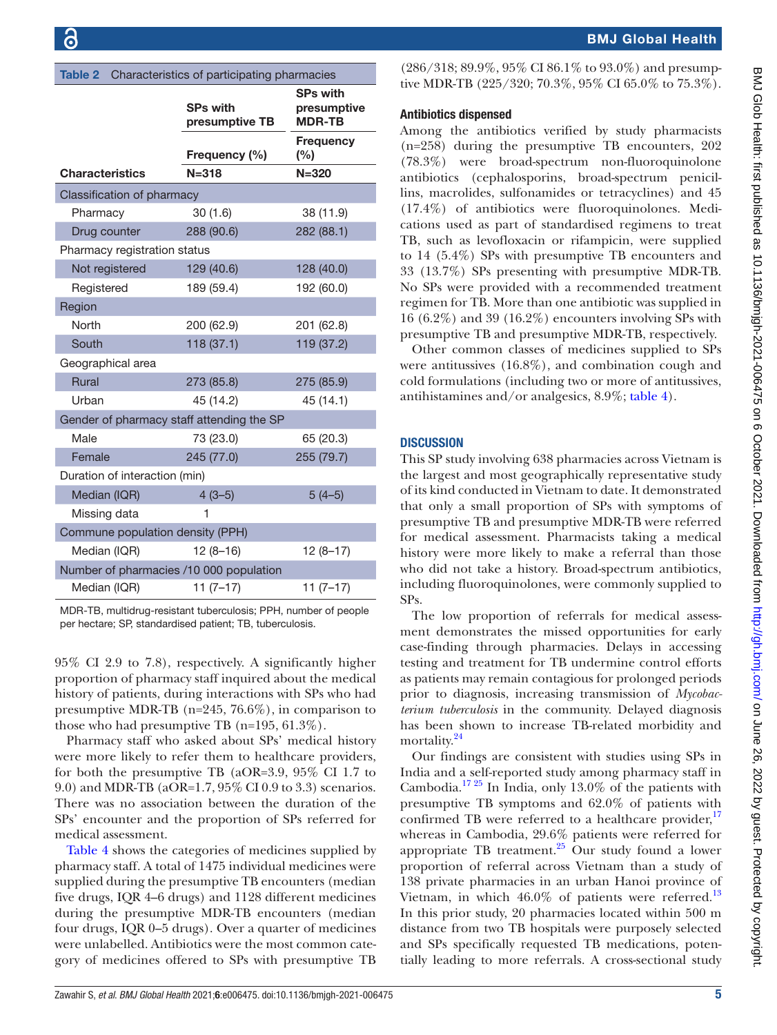<span id="page-4-0"></span>

| Table 2<br>Characteristics of participating pharmacies |                                   |                                                 |  |  |
|--------------------------------------------------------|-----------------------------------|-------------------------------------------------|--|--|
|                                                        | <b>SPs with</b><br>presumptive TB | <b>SPs with</b><br>presumptive<br><b>MDR-TB</b> |  |  |
|                                                        | Frequency (%)                     | Frequency<br>(%)                                |  |  |
| <b>Characteristics</b>                                 | $N = 318$                         | $N = 320$                                       |  |  |
| Classification of pharmacy                             |                                   |                                                 |  |  |
| Pharmacy                                               | 30(1.6)                           | 38 (11.9)                                       |  |  |
| Drug counter                                           | 288 (90.6)                        | 282 (88.1)                                      |  |  |
| Pharmacy registration status                           |                                   |                                                 |  |  |
| Not registered                                         | 129 (40.6)                        | 128 (40.0)                                      |  |  |
| Registered                                             | 189 (59.4)                        | 192 (60.0)                                      |  |  |
| Region                                                 |                                   |                                                 |  |  |
| North                                                  | 200 (62.9)                        | 201 (62.8)                                      |  |  |
| South                                                  | 118 (37.1)                        | 119 (37.2)                                      |  |  |
| Geographical area                                      |                                   |                                                 |  |  |
| <b>Rural</b>                                           | 273 (85.8)                        | 275 (85.9)                                      |  |  |
| Urban                                                  | 45 (14.2)                         | 45 (14.1)                                       |  |  |
| Gender of pharmacy staff attending the SP              |                                   |                                                 |  |  |
| Male                                                   | 73 (23.0)                         | 65 (20.3)                                       |  |  |
| Female                                                 | 245 (77.0)                        | 255 (79.7)                                      |  |  |
| Duration of interaction (min)                          |                                   |                                                 |  |  |
| Median (IQR)                                           | $4(3-5)$                          | $5(4-5)$                                        |  |  |
| Missing data                                           |                                   |                                                 |  |  |
| Commune population density (PPH)                       |                                   |                                                 |  |  |
| Median (IQR)                                           | $12(8-16)$                        | $12(8-17)$                                      |  |  |
| Number of pharmacies /10 000 population                |                                   |                                                 |  |  |
| Median (IQR)                                           | $11(7-17)$                        | $11(7-17)$                                      |  |  |

MDR-TB, multidrug-resistant tuberculosis; PPH, number of people per hectare; SP, standardised patient; TB, tuberculosis.

95% CI 2.9 to 7.8), respectively. A significantly higher proportion of pharmacy staff inquired about the medical history of patients, during interactions with SPs who had presumptive MDR-TB (n=245, 76.6%), in comparison to those who had presumptive TB (n=195, 61.3%).

Pharmacy staff who asked about SPs' medical history were more likely to refer them to healthcare providers, for both the presumptive TB (aOR=3.9, 95% CI 1.7 to 9.0) and MDR-TB (aOR=1.7, 95% CI 0.9 to 3.3) scenarios. There was no association between the duration of the SPs' encounter and the proportion of SPs referred for medical assessment.

[Table](#page-7-0) 4 shows the categories of medicines supplied by pharmacy staff. A total of 1475 individual medicines were supplied during the presumptive TB encounters (median five drugs, IQR 4–6 drugs) and 1128 different medicines during the presumptive MDR-TB encounters (median four drugs, IQR 0–5 drugs). Over a quarter of medicines were unlabelled. Antibiotics were the most common category of medicines offered to SPs with presumptive TB

# BMJ Global Health

 $(286/318; 89.9\%, 95\% \text{ CI } 86.1\% \text{ to } 93.0\%)$  and presumptive MDR-TB (225/320; 70.3%, 95% CI 65.0% to 75.3%).

# Antibiotics dispensed

Among the antibiotics verified by study pharmacists (n=258) during the presumptive TB encounters, 202 (78.3%) were broad-spectrum non-fluoroquinolone antibiotics (cephalosporins, broad-spectrum penicillins, macrolides, sulfonamides or tetracyclines) and 45 (17.4%) of antibiotics were fluoroquinolones. Medications used as part of standardised regimens to treat TB, such as levofloxacin or rifampicin, were supplied to 14 (5.4%) SPs with presumptive TB encounters and 33 (13.7%) SPs presenting with presumptive MDR-TB. No SPs were provided with a recommended treatment regimen for TB. More than one antibiotic was supplied in 16 (6.2%) and 39 (16.2%) encounters involving SPs with presumptive TB and presumptive MDR-TB, respectively.

Other common classes of medicines supplied to SPs were antitussives (16.8%), and combination cough and cold formulations (including two or more of antitussives, antihistamines and/or analgesics, 8.9%; [table](#page-7-0) 4).

#### **DISCUSSION**

This SP study involving 638 pharmacies across Vietnam is the largest and most geographically representative study of its kind conducted in Vietnam to date. It demonstrated that only a small proportion of SPs with symptoms of presumptive TB and presumptive MDR-TB were referred for medical assessment. Pharmacists taking a medical history were more likely to make a referral than those who did not take a history. Broad-spectrum antibiotics, including fluoroquinolones, were commonly supplied to SPs.

The low proportion of referrals for medical assessment demonstrates the missed opportunities for early case-finding through pharmacies. Delays in accessing testing and treatment for TB undermine control efforts as patients may remain contagious for prolonged periods prior to diagnosis, increasing transmission of *Mycobacterium tuberculosis* in the community. Delayed diagnosis has been shown to increase TB-related morbidity and mortality.<sup>[24](#page-10-16)</sup>

Our findings are consistent with studies using SPs in India and a self-reported study among pharmacy staff in Cambodia[.17 25](#page-10-12) In India, only 13.0% of the patients with presumptive TB symptoms and 62.0% of patients with confirmed TB were referred to a healthcare provider, $^{17}$ whereas in Cambodia, 29.6% patients were referred for appropriate TB treatment.<sup>25</sup> Our study found a lower proportion of referral across Vietnam than a study of 138 private pharmacies in an urban Hanoi province of Vietnam, in which  $46.0\%$  of patients were referred.<sup>13</sup> In this prior study, 20 pharmacies located within 500 m distance from two TB hospitals were purposely selected and SPs specifically requested TB medications, potentially leading to more referrals. A cross-sectional study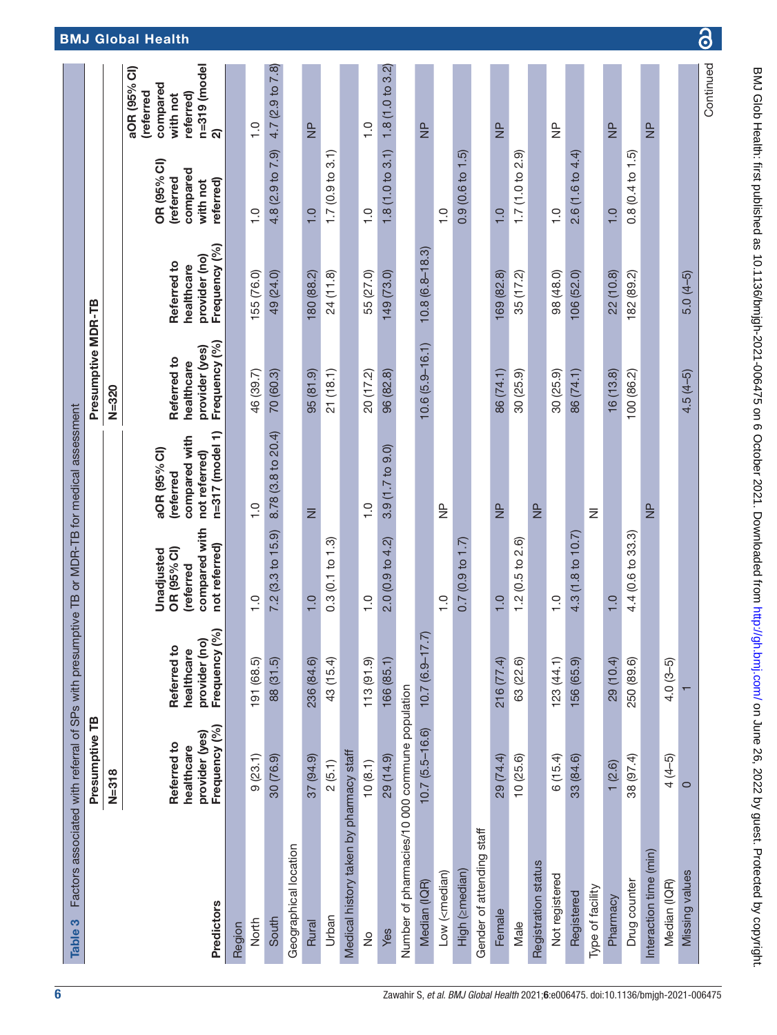<span id="page-5-0"></span>

| Table 3                                                                                                                                                                           | Factors associated with referral of SPs with presumptive TB or MDR-TB for medical assessment |                                           |                                                         |                                                             |                                             |                                            |                                                  |                                                                                    |
|-----------------------------------------------------------------------------------------------------------------------------------------------------------------------------------|----------------------------------------------------------------------------------------------|-------------------------------------------|---------------------------------------------------------|-------------------------------------------------------------|---------------------------------------------|--------------------------------------------|--------------------------------------------------|------------------------------------------------------------------------------------|
|                                                                                                                                                                                   | Presumptive TB                                                                               |                                           |                                                         |                                                             | Presumptive MDR-TB                          |                                            |                                                  |                                                                                    |
|                                                                                                                                                                                   | $N = 318$                                                                                    |                                           |                                                         |                                                             | $N = 320$                                   |                                            |                                                  |                                                                                    |
|                                                                                                                                                                                   | provider (yes)<br>Referred to<br>healthcare                                                  | provider (no<br>Referred to<br>healthcare | compared with<br>OR (95% CI)<br>Unadjusted<br>(referred | compared with<br>aOR (95% CI)<br>not referred)<br>(referred | provider (yes)<br>Referred to<br>healthcare | provider (no)<br>Referred to<br>healthcare | OR (95% CI)<br>compared<br>(referred<br>with not | $n = 319$ (model<br>aOR (95% CI)<br>compared<br>(referred<br>referred)<br>with not |
| Predictors                                                                                                                                                                        | Frequency (%)                                                                                | $\mathcal{S}_{\mathbf{0}}$<br>Frequency   | not referred)                                           | n=317 (model 1)                                             | Frequency (%)                               | Frequency (%)                              | referred)                                        | ন                                                                                  |
| Region                                                                                                                                                                            |                                                                                              |                                           |                                                         |                                                             |                                             |                                            |                                                  |                                                                                    |
| North                                                                                                                                                                             | 9(23.1)                                                                                      | 191 (68.5)                                | $\frac{0}{1}$                                           | $\frac{0}{1}$                                               | 46 (39.7)                                   | 155 (76.0)                                 | $\frac{0}{1}$                                    | $\frac{0}{1}$                                                                      |
| South                                                                                                                                                                             | 30 (76.9)                                                                                    | 88 (31.5)                                 | 7.2(3.3 to 15.9)                                        | 8.78 (3.8 to 20.4)                                          | 70 (60.3)                                   | 49 (24.0)                                  | 4.8 (2.9 to 7.9)                                 | 4.7 (2.9 to 7.8)                                                                   |
| Geographical location                                                                                                                                                             |                                                                                              |                                           |                                                         |                                                             |                                             |                                            |                                                  |                                                                                    |
| Rural                                                                                                                                                                             | 37 (94.9)                                                                                    | 236 (84.6)                                | $\overline{1}$ .0                                       | $\bar{z}$                                                   | $(6.18)$ 56                                 | 180 (88.2)                                 | $\overline{1}$ .0                                | $\frac{p}{Z}$                                                                      |
| Urban                                                                                                                                                                             | 2(5.1)                                                                                       | 43 (15.4)                                 | 0.3(0.1 to 1.3)                                         |                                                             | 21(18.1)                                    | 24(11.8)                                   | 1.7(0.9 to 3.1)                                  |                                                                                    |
| Medical history taken by pharmacy staff                                                                                                                                           |                                                                                              |                                           |                                                         |                                                             |                                             |                                            |                                                  |                                                                                    |
| $\frac{1}{2}$                                                                                                                                                                     | 10(8.1)                                                                                      | 113(91.9)                                 | $\frac{0}{1}$                                           | $\frac{0}{1}$                                               | 20 (17.2)                                   | 55 (27.0)                                  | $\frac{0}{1}$                                    | $\frac{0}{1}$                                                                      |
| Yes                                                                                                                                                                               | 29 (14.9)                                                                                    | 166(85.1)                                 | 2.0(0.9 to 4.2)                                         | $3.9(1.7)$ to $9.0$                                         | 96 (82.8)                                   | 149 (73.0)                                 | 1.8(1.0 to 3.1)                                  | 1.8(1.0 to 3.2)                                                                    |
| Number of pharmacies/10 000 commune population                                                                                                                                    |                                                                                              |                                           |                                                         |                                                             |                                             |                                            |                                                  |                                                                                    |
| Median (IQR)                                                                                                                                                                      | $10.7(5.5 - 16.6)$                                                                           | $\widehat{\sum}$<br>$10.7(6.9 - 17)$      |                                                         |                                                             | $10.6(5.9 - 16.1)$                          | $10.8(6.8 - 18.3)$                         |                                                  | $\frac{p}{Z}$                                                                      |
| Low ( <median)< td=""><td></td><td></td><td><math>\frac{0}{1}</math></td><td><math>\frac{p}{Z}</math></td><td></td><td></td><td><math>\frac{0}{1}</math></td><td></td></median)<> |                                                                                              |                                           | $\frac{0}{1}$                                           | $\frac{p}{Z}$                                               |                                             |                                            | $\frac{0}{1}$                                    |                                                                                    |
| High (zmedian)                                                                                                                                                                    |                                                                                              |                                           | 0.7(0.9 to 1.7)                                         |                                                             |                                             |                                            | 0.9(0.6 to 1.5)                                  |                                                                                    |
| Gender of attending staff                                                                                                                                                         |                                                                                              |                                           |                                                         |                                                             |                                             |                                            |                                                  |                                                                                    |
| Female                                                                                                                                                                            | 29 (74.4)                                                                                    | 216 (77.4)                                | $\frac{0}{1}$                                           | $\frac{p}{Z}$                                               | 86 (74.1)                                   | 169 (82.8)                                 | $\frac{0}{1}$                                    | $\frac{\rho}{Z}$                                                                   |
| Male                                                                                                                                                                              | 10(25.6)                                                                                     | 63 (22.6)                                 | 1.2(0.5 to 2.6)                                         |                                                             | 30(25.9)                                    | 35 (17.2)                                  | 1.7(1.0 to 2.9)                                  |                                                                                    |
| Registration status                                                                                                                                                               |                                                                                              |                                           |                                                         | $\frac{p}{Z}$                                               |                                             |                                            |                                                  |                                                                                    |
| Not registered                                                                                                                                                                    | 6(15.4)                                                                                      | 123 (44.1)                                | $\frac{0}{1}$                                           |                                                             | 30(25.9)                                    | 98 (48.0)                                  | $\frac{0}{1}$                                    | $\frac{\mathsf{p}}{\mathsf{p}}$                                                    |
| Registered                                                                                                                                                                        | 33 (84.6)                                                                                    | 156 (65.9)                                | 4.3(1.8 to 10.7)                                        |                                                             | 86 (74.1)                                   | 106 (52.0)                                 | 2.6(1.6 to 4.4)                                  |                                                                                    |
| Type of facility                                                                                                                                                                  |                                                                                              |                                           |                                                         | $\bar{z}$                                                   |                                             |                                            |                                                  |                                                                                    |
| Pharmacy                                                                                                                                                                          | 1(2.6)                                                                                       | 29 (10.4)                                 | 1.0                                                     |                                                             | 16(13.8)                                    | 22 (10.8)                                  | $\frac{0}{1}$                                    | $\frac{p}{Z}$                                                                      |
| Drug counter                                                                                                                                                                      | 38 (97.4)                                                                                    | 250 (89.6)                                | 4.4 (0.6 to 33.3)                                       |                                                             | 100 (86.2)                                  | 182 (89.2)                                 | 0.8(0.4 to 1.5)                                  |                                                                                    |
| Interaction time (min)                                                                                                                                                            |                                                                                              |                                           |                                                         | $\frac{p}{Z}$                                               |                                             |                                            |                                                  | $\frac{p}{Z}$                                                                      |
| Median (IQR)                                                                                                                                                                      | $4(4-5)$                                                                                     | $4.0(3-5)$                                |                                                         |                                                             |                                             |                                            |                                                  |                                                                                    |
| Missing values                                                                                                                                                                    | $\circ$                                                                                      |                                           |                                                         |                                                             | $4.5(4-5)$                                  | $5.0(4-5)$                                 |                                                  |                                                                                    |
|                                                                                                                                                                                   |                                                                                              |                                           |                                                         |                                                             |                                             |                                            |                                                  | Continued                                                                          |

 $\overline{\mathbf{d}}$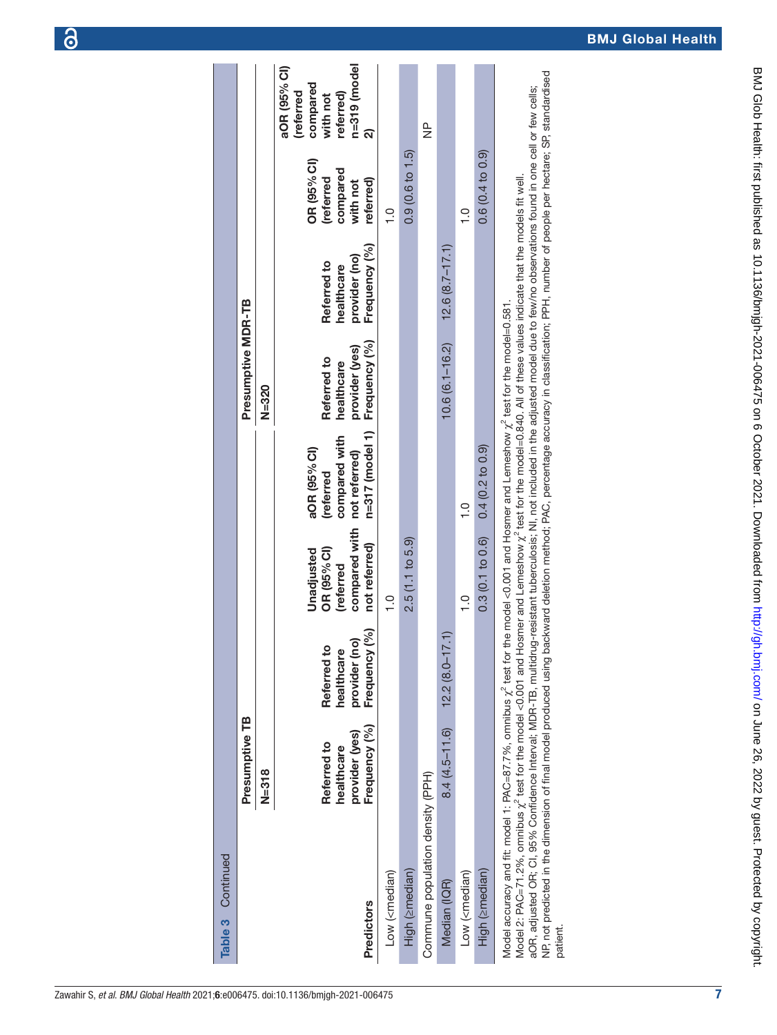| Zawahir S, et al. BMJ Global Health 2021;6:e006475. doi:10.1136/bmjgh-2021-006475 |  |
|-----------------------------------------------------------------------------------|--|

| Continued<br>Table 3                                                                                                                                                                                                                                                                                                                                                                                                                                                                                                                                                                                                                                                                                                                         |                                                              |                                                                         |                                                                          |                                                                                |                                                              |                                                             |                                                               |                                                                                    |
|----------------------------------------------------------------------------------------------------------------------------------------------------------------------------------------------------------------------------------------------------------------------------------------------------------------------------------------------------------------------------------------------------------------------------------------------------------------------------------------------------------------------------------------------------------------------------------------------------------------------------------------------------------------------------------------------------------------------------------------------|--------------------------------------------------------------|-------------------------------------------------------------------------|--------------------------------------------------------------------------|--------------------------------------------------------------------------------|--------------------------------------------------------------|-------------------------------------------------------------|---------------------------------------------------------------|------------------------------------------------------------------------------------|
|                                                                                                                                                                                                                                                                                                                                                                                                                                                                                                                                                                                                                                                                                                                                              | Presumptive TB                                               |                                                                         |                                                                          |                                                                                | Presumptive MDR-TB                                           |                                                             |                                                               |                                                                                    |
|                                                                                                                                                                                                                                                                                                                                                                                                                                                                                                                                                                                                                                                                                                                                              | $N = 318$                                                    |                                                                         |                                                                          |                                                                                | $N = 320$                                                    |                                                             |                                                               |                                                                                    |
| <b>Predictors</b>                                                                                                                                                                                                                                                                                                                                                                                                                                                                                                                                                                                                                                                                                                                            | Frequency (%)<br>provider (yes)<br>Referred to<br>healthcare | $\mathcal{S}$<br>Referred to<br>provider (no<br>healthcare<br>Frequency | compared with<br>not referred)<br>OR (95% CI)<br>Unadjusted<br>(referred | n=317 (model 1)<br>compared with<br>aOR (95% Cl)<br>not referred)<br>(referred | Frequency (%)<br>provider (yes)<br>Referred to<br>healthcare | Frequency (%)<br>provider (no)<br>Referred to<br>healthcare | OR (95% CI)<br>compared<br>(referred<br>referred)<br>with not | $n = 319$ (model<br>aOR (95% Cl)<br>compared<br>(referred<br>referred)<br>with not |
| Low ( <median)< td=""><td></td><td></td><td><math>\frac{1}{1}</math></td><td></td><td></td><td></td><td><math>\frac{0}{1}</math></td><td></td></median)<>                                                                                                                                                                                                                                                                                                                                                                                                                                                                                                                                                                                    |                                                              |                                                                         | $\frac{1}{1}$                                                            |                                                                                |                                                              |                                                             | $\frac{0}{1}$                                                 |                                                                                    |
| High (zmedian)                                                                                                                                                                                                                                                                                                                                                                                                                                                                                                                                                                                                                                                                                                                               |                                                              |                                                                         | 2.5(1.1 to 5.9)                                                          |                                                                                |                                                              |                                                             | 0.9(0.6 to 1.5)                                               |                                                                                    |
| Commune population density (PPH)                                                                                                                                                                                                                                                                                                                                                                                                                                                                                                                                                                                                                                                                                                             |                                                              |                                                                         |                                                                          |                                                                                |                                                              |                                                             |                                                               | $\frac{\mathsf{p}}{\mathsf{p}}$                                                    |
| Median (IQR)                                                                                                                                                                                                                                                                                                                                                                                                                                                                                                                                                                                                                                                                                                                                 | $8.4(4.5 - 11.6)$                                            | $12.2(8.0 - 17.1)$                                                      |                                                                          |                                                                                | $10.6(6.1 - 16.2)$                                           | $12.6(8.7 - 17.1)$                                          |                                                               |                                                                                    |
| Low ( <median)< td=""><td></td><td></td><td><math>\frac{1}{2}</math></td><td><math>\frac{1}{2}</math></td><td></td><td></td><td><math>\frac{1}{1}</math></td><td></td></median)<>                                                                                                                                                                                                                                                                                                                                                                                                                                                                                                                                                            |                                                              |                                                                         | $\frac{1}{2}$                                                            | $\frac{1}{2}$                                                                  |                                                              |                                                             | $\frac{1}{1}$                                                 |                                                                                    |
| High (2median)                                                                                                                                                                                                                                                                                                                                                                                                                                                                                                                                                                                                                                                                                                                               |                                                              |                                                                         | 0.3(0.1 to 0.6)                                                          | 0.4(0.2 to 0.9)                                                                |                                                              |                                                             | 0.6(0.4 to 0.9)                                               |                                                                                    |
| NP, not predicted in the dimension of final model produced using backward deletion method; PAC, percentage accuracy in classification; PPH, number of people per hectare; SP, standardised<br>aOR, adjusted OR; CI, 95% Confidence Interval; MDR-TB, multidrug-resistant tuberculosis; NI, not included in the adjusted model due to few/no observations found in one cell or few cells;<br>Model 2: PAC=71.2%, omnibus $\chi^2$ test for the model <0.001 and Hosmer and Lemeshow $\chi^2$ test for the model=0.840. All of these values indicate that the models fit well.<br>Model accuracy and fit: model 1: PAC=87.7%, ormibus $\chi^z$ test for the model <0.001 and Hosmer and Lemeshow $\chi^z$ test for the model=0.581.<br>patient |                                                              |                                                                         |                                                                          |                                                                                |                                                              |                                                             |                                                               |                                                                                    |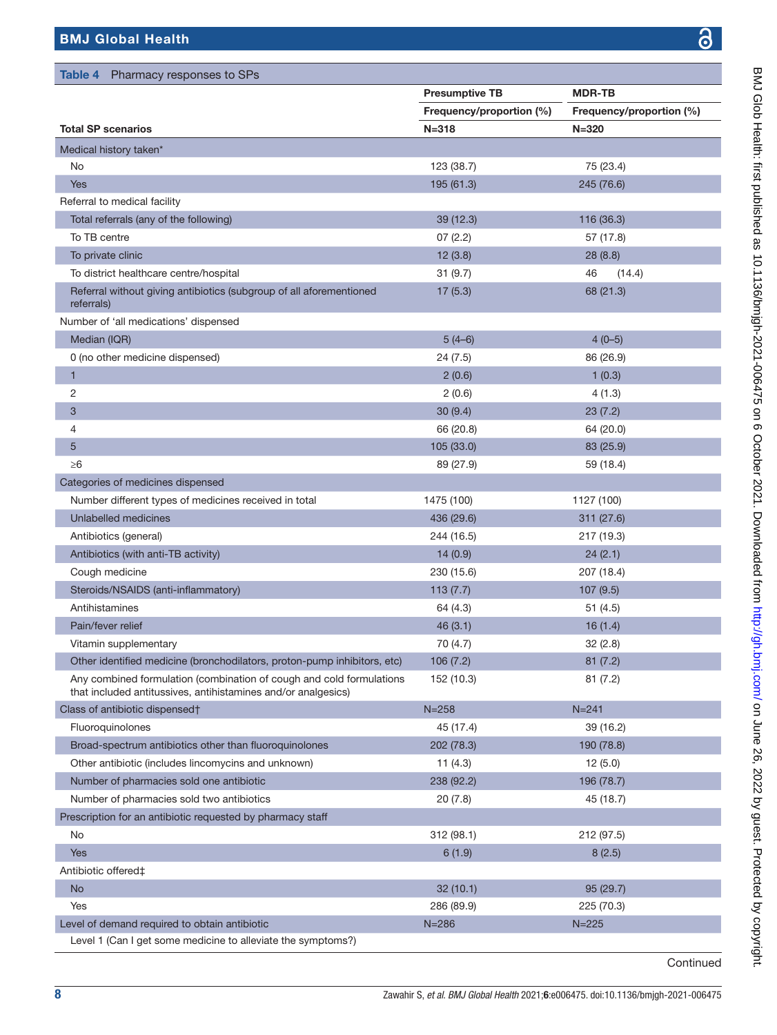<span id="page-7-0"></span>

|                                                                                                                                       | <b>Presumptive TB</b>    | <b>MDR-TB</b>            |
|---------------------------------------------------------------------------------------------------------------------------------------|--------------------------|--------------------------|
|                                                                                                                                       | Frequency/proportion (%) | Frequency/proportion (%) |
| <b>Total SP scenarios</b>                                                                                                             | $N = 318$                | $N = 320$                |
| Medical history taken*                                                                                                                |                          |                          |
| No                                                                                                                                    | 123 (38.7)               | 75 (23.4)                |
| <b>Yes</b>                                                                                                                            | 195 (61.3)               | 245 (76.6)               |
| Referral to medical facility                                                                                                          |                          |                          |
| Total referrals (any of the following)                                                                                                | 39 (12.3)                | 116 (36.3)               |
| To TB centre                                                                                                                          | 07(2.2)                  | 57 (17.8)                |
| To private clinic                                                                                                                     | 12(3.8)                  | 28(8.8)                  |
| To district healthcare centre/hospital                                                                                                | 31(9.7)                  | 46<br>(14.4)             |
| Referral without giving antibiotics (subgroup of all aforementioned<br>referrals)                                                     | 17(5.3)                  | 68 (21.3)                |
| Number of 'all medications' dispensed                                                                                                 |                          |                          |
| Median (IQR)                                                                                                                          | $5(4-6)$                 | $4(0-5)$                 |
| 0 (no other medicine dispensed)                                                                                                       | 24(7.5)                  | 86 (26.9)                |
| 1                                                                                                                                     | 2(0.6)                   | 1(0.3)                   |
| 2                                                                                                                                     | 2(0.6)                   | 4(1.3)                   |
| 3                                                                                                                                     | 30(9.4)                  | 23(7.2)                  |
| 4                                                                                                                                     | 66 (20.8)                | 64 (20.0)                |
| 5                                                                                                                                     | 105 (33.0)               | 83 (25.9)                |
| $\geq 6$                                                                                                                              | 89 (27.9)                | 59 (18.4)                |
| Categories of medicines dispensed                                                                                                     |                          |                          |
| Number different types of medicines received in total                                                                                 | 1475 (100)               | 1127 (100)               |
| Unlabelled medicines                                                                                                                  | 436 (29.6)               | 311 (27.6)               |
| Antibiotics (general)                                                                                                                 | 244 (16.5)               | 217 (19.3)               |
| Antibiotics (with anti-TB activity)                                                                                                   | 14(0.9)                  | 24(2.1)                  |
| Cough medicine                                                                                                                        | 230 (15.6)               | 207 (18.4)               |
| Steroids/NSAIDS (anti-inflammatory)                                                                                                   | 113(7.7)                 | 107(9.5)                 |
| Antihistamines                                                                                                                        | 64 (4.3)                 | 51(4.5)                  |
| Pain/fever relief                                                                                                                     | 46(3.1)                  | 16(1.4)                  |
| Vitamin supplementary                                                                                                                 | 70 (4.7)                 | 32(2.8)                  |
| Other identified medicine (bronchodilators, proton-pump inhibitors, etc)                                                              | 106(7.2)                 | 81(7.2)                  |
| Any combined formulation (combination of cough and cold formulations<br>that included antitussives, antihistamines and/or analgesics) | 152 (10.3)               | 81(7.2)                  |
| Class of antibiotic dispensed†                                                                                                        | $N = 258$                | $N = 241$                |
| Fluoroquinolones                                                                                                                      | 45 (17.4)                | 39 (16.2)                |
| Broad-spectrum antibiotics other than fluoroquinolones                                                                                | 202 (78.3)               | 190 (78.8)               |
| Other antibiotic (includes lincomycins and unknown)                                                                                   | 11 $(4.3)$               | 12(5.0)                  |
| Number of pharmacies sold one antibiotic                                                                                              | 238 (92.2)               | 196 (78.7)               |
| Number of pharmacies sold two antibiotics                                                                                             | 20(7.8)                  | 45 (18.7)                |
| Prescription for an antibiotic requested by pharmacy staff                                                                            |                          |                          |
| No                                                                                                                                    | 312(98.1)                | 212 (97.5)               |
| <b>Yes</b>                                                                                                                            | 6(1.9)                   | 8(2.5)                   |
| Antibiotic offered‡                                                                                                                   |                          |                          |
| <b>No</b>                                                                                                                             | 32(10.1)                 | 95 (29.7)                |
| Yes                                                                                                                                   | 286 (89.9)               | 225 (70.3)               |
| Level of demand required to obtain antibiotic                                                                                         | $N = 286$                | $N = 225$                |

BMJ Glob Health: first published as 10.1136/bmjgh-2021-006475 on 6 October 2021. Downloaded from http://gh.bmj.com/ on June 26, 2022 by guest. Protected by copyright. BMJ Glob Health: first published as 10.1136/bmjgh-2021-006475 on 6 October 2021. Downloaded from <http://gh.bmj.com/> on June 26, 2022 by guest. Protected by copyright.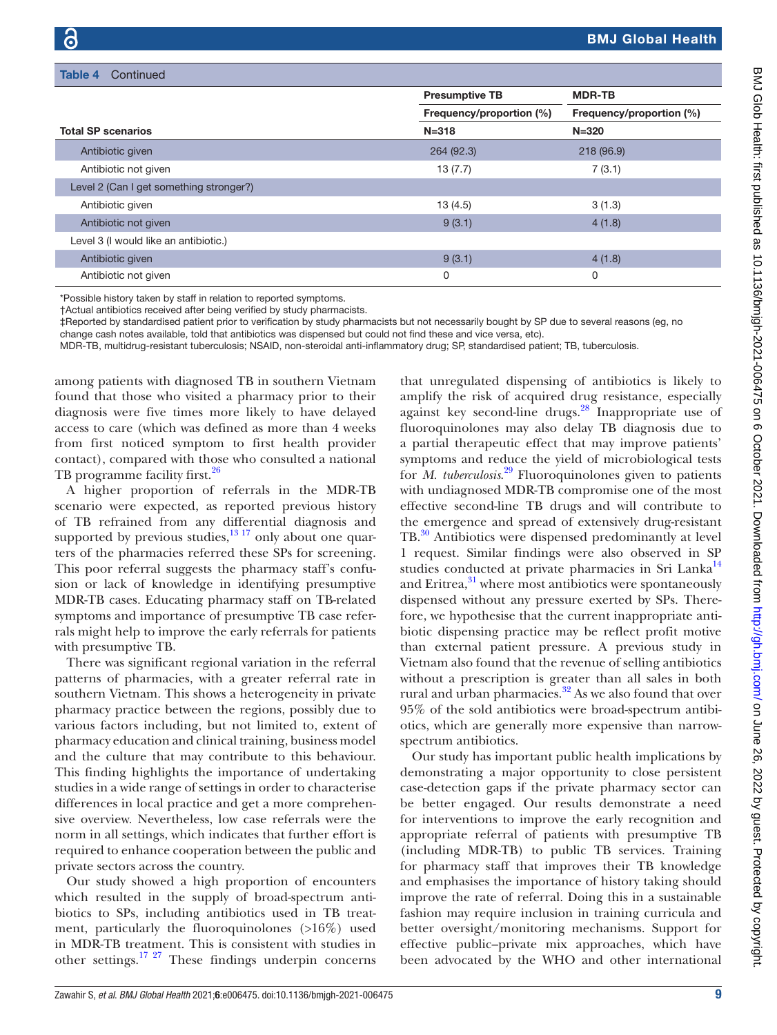| Table 4<br>Continued                    |                          |                          |
|-----------------------------------------|--------------------------|--------------------------|
|                                         | <b>Presumptive TB</b>    | <b>MDR-TB</b>            |
|                                         | Frequency/proportion (%) | Frequency/proportion (%) |
| <b>Total SP scenarios</b>               | $N = 318$                | $N = 320$                |
| Antibiotic given                        | 264 (92.3)               | 218 (96.9)               |
| Antibiotic not given                    | 13(7.7)                  | 7(3.1)                   |
| Level 2 (Can I get something stronger?) |                          |                          |
| Antibiotic given                        | 13(4.5)                  | 3(1.3)                   |
| Antibiotic not given                    | 9(3.1)                   | 4(1.8)                   |
| Level 3 (I would like an antibiotic.)   |                          |                          |
| Antibiotic given                        | 9(3.1)                   | 4(1.8)                   |
| Antibiotic not given                    | 0                        | 0                        |

\*Possible history taken by staff in relation to reported symptoms.

†Actual antibiotics received after being verified by study pharmacists.

‡Reported by standardised patient prior to verification by study pharmacists but not necessarily bought by SP due to several reasons (eg, no change cash notes available, told that antibiotics was dispensed but could not find these and vice versa, etc).

MDR-TB, multidrug-resistant tuberculosis; NSAID, non-steroidal anti-inflammatory drug; SP, standardised patient; TB, tuberculosis.

among patients with diagnosed TB in southern Vietnam found that those who visited a pharmacy prior to their diagnosis were five times more likely to have delayed access to care (which was defined as more than 4 weeks from first noticed symptom to first health provider contact), compared with those who consulted a national TB programme facility first.<sup>26</sup>

A higher proportion of referrals in the MDR-TB scenario were expected, as reported previous history of TB refrained from any differential diagnosis and supported by previous studies, $1317$  only about one quarters of the pharmacies referred these SPs for screening. This poor referral suggests the pharmacy staff's confusion or lack of knowledge in identifying presumptive MDR-TB cases. Educating pharmacy staff on TB-related symptoms and importance of presumptive TB case referrals might help to improve the early referrals for patients with presumptive TB.

There was significant regional variation in the referral patterns of pharmacies, with a greater referral rate in southern Vietnam. This shows a heterogeneity in private pharmacy practice between the regions, possibly due to various factors including, but not limited to, extent of pharmacy education and clinical training, business model and the culture that may contribute to this behaviour. This finding highlights the importance of undertaking studies in a wide range of settings in order to characterise differences in local practice and get a more comprehensive overview. Nevertheless, low case referrals were the norm in all settings, which indicates that further effort is required to enhance cooperation between the public and private sectors across the country.

Our study showed a high proportion of encounters which resulted in the supply of broad-spectrum antibiotics to SPs, including antibiotics used in TB treatment, particularly the fluoroquinolones (>16%) used in MDR-TB treatment. This is consistent with studies in other settings.[17 27](#page-10-12) These findings underpin concerns

that unregulated dispensing of antibiotics is likely to amplify the risk of acquired drug resistance, especially against key second-line drugs[.28](#page-10-19) Inappropriate use of fluoroquinolones may also delay TB diagnosis due to a partial therapeutic effect that may improve patients' symptoms and reduce the yield of microbiological tests for *M. tuberculosis*. [29](#page-10-20) Fluoroquinolones given to patients with undiagnosed MDR-TB compromise one of the most effective second-line TB drugs and will contribute to the emergence and spread of extensively drug-resistant TB[.30](#page-10-21) Antibiotics were dispensed predominantly at level 1 request. Similar findings were also observed in SP studies conducted at private pharmacies in Sri Lanka<sup>14</sup> and Eritrea, $31$  where most antibiotics were spontaneously dispensed without any pressure exerted by SPs. Therefore, we hypothesise that the current inappropriate antibiotic dispensing practice may be reflect profit motive than external patient pressure. A previous study in Vietnam also found that the revenue of selling antibiotics without a prescription is greater than all sales in both rural and urban pharmacies. $32$  As we also found that over 95% of the sold antibiotics were broad-spectrum antibiotics, which are generally more expensive than narrowspectrum antibiotics.

Our study has important public health implications by demonstrating a major opportunity to close persistent case-detection gaps if the private pharmacy sector can be better engaged. Our results demonstrate a need for interventions to improve the early recognition and appropriate referral of patients with presumptive TB (including MDR-TB) to public TB services. Training for pharmacy staff that improves their TB knowledge and emphasises the importance of history taking should improve the rate of referral. Doing this in a sustainable fashion may require inclusion in training curricula and better oversight/monitoring mechanisms. Support for effective public–private mix approaches, which have been advocated by the WHO and other international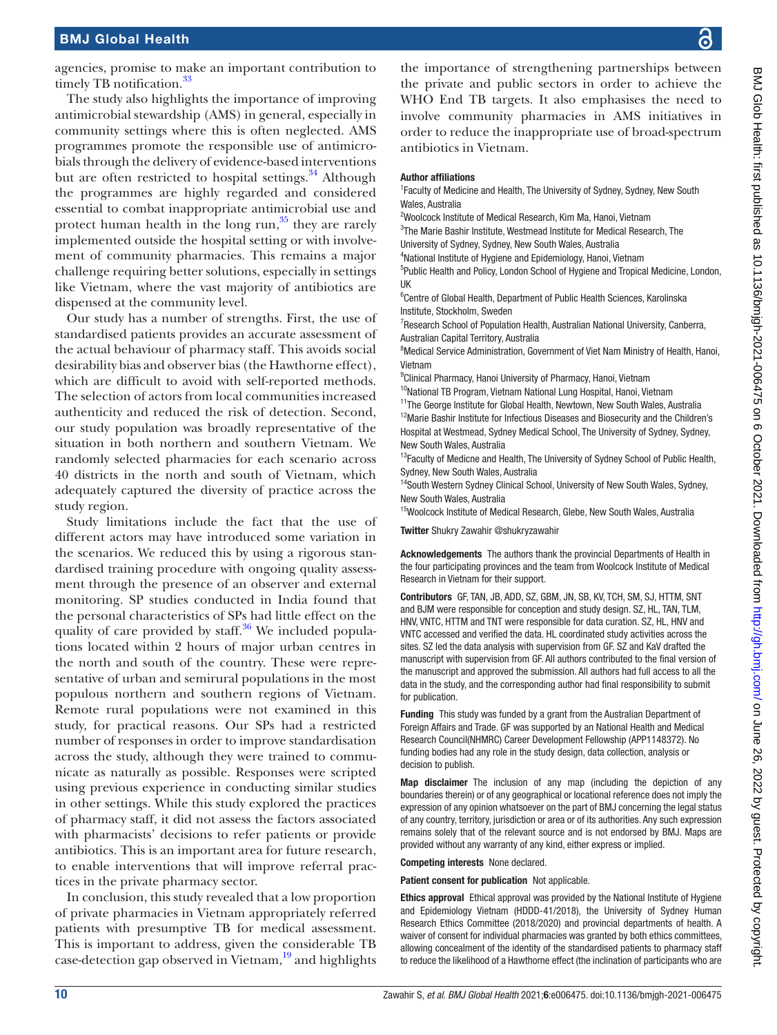agencies, promise to make an important contribution to timely TB notification.<sup>33</sup>

The study also highlights the importance of improving antimicrobial stewardship (AMS) in general, especially in community settings where this is often neglected. AMS programmes promote the responsible use of antimicrobials through the delivery of evidence-based interventions but are often restricted to hospital settings. $34$  Although the programmes are highly regarded and considered essential to combat inappropriate antimicrobial use and protect human health in the long run, $35$  they are rarely implemented outside the hospital setting or with involvement of community pharmacies. This remains a major challenge requiring better solutions, especially in settings like Vietnam, where the vast majority of antibiotics are dispensed at the community level.

Our study has a number of strengths. First, the use of standardised patients provides an accurate assessment of the actual behaviour of pharmacy staff. This avoids social desirability bias and observer bias (the Hawthorne effect), which are difficult to avoid with self-reported methods. The selection of actors from local communities increased authenticity and reduced the risk of detection. Second, our study population was broadly representative of the situation in both northern and southern Vietnam. We randomly selected pharmacies for each scenario across 40 districts in the north and south of Vietnam, which adequately captured the diversity of practice across the study region.

Study limitations include the fact that the use of different actors may have introduced some variation in the scenarios. We reduced this by using a rigorous standardised training procedure with ongoing quality assessment through the presence of an observer and external monitoring. SP studies conducted in India found that the personal characteristics of SPs had little effect on the quality of care provided by staff. $36$  We included populations located within 2 hours of major urban centres in the north and south of the country. These were representative of urban and semirural populations in the most populous northern and southern regions of Vietnam. Remote rural populations were not examined in this study, for practical reasons. Our SPs had a restricted number of responses in order to improve standardisation across the study, although they were trained to communicate as naturally as possible. Responses were scripted using previous experience in conducting similar studies in other settings. While this study explored the practices of pharmacy staff, it did not assess the factors associated with pharmacists' decisions to refer patients or provide antibiotics. This is an important area for future research, to enable interventions that will improve referral practices in the private pharmacy sector.

In conclusion, this study revealed that a low proportion of private pharmacies in Vietnam appropriately referred patients with presumptive TB for medical assessment. This is important to address, given the considerable TB case-detection gap observed in Vietnam,<sup>[19](#page-10-13)</sup> and highlights

the importance of strengthening partnerships between the private and public sectors in order to achieve the WHO End TB targets. It also emphasises the need to involve community pharmacies in AMS initiatives in order to reduce the inappropriate use of broad-spectrum antibiotics in Vietnam.

#### Author affiliations

<sup>1</sup> Faculty of Medicine and Health, The University of Sydney, Sydney, New South Wales, Australia

<sup>2</sup>Woolcock Institute of Medical Research, Kim Ma, Hanoi, Vietnam

<sup>3</sup>The Marie Bashir Institute, Westmead Institute for Medical Research, The University of Sydney, Sydney, New South Wales, Australia

4 National Institute of Hygiene and Epidemiology, Hanoi, Vietnam

<sup>5</sup>Public Health and Policy, London School of Hygiene and Tropical Medicine, London, UK

<sup>6</sup>Centre of Global Health, Department of Public Health Sciences, Karolinska Institute, Stockholm, Sweden

<sup>7</sup> Research School of Population Health, Australian National University, Canberra, Australian Capital Territory, Australia

<sup>8</sup>Medical Service Administration, Government of Viet Nam Ministry of Health, Hanoi, Vietnam

<sup>9</sup>Clinical Pharmacy, Hanoi University of Pharmacy, Hanoi, Vietnam

 $10$ National TB Program, Vietnam National Lung Hospital, Hanoi, Vietnam

<sup>11</sup>The George Institute for Global Health, Newtown, New South Wales, Australia <sup>12</sup>Marie Bashir Institute for Infectious Diseases and Biosecurity and the Children's Hospital at Westmead, Sydney Medical School, The University of Sydney, Sydney, New South Wales, Australia

<sup>13</sup>Faculty of Medicne and Health, The University of Sydney School of Public Health, Sydney, New South Wales, Australia

<sup>14</sup> South Western Sydney Clinical School, University of New South Wales, Sydney, New South Wales, Australia

<sup>15</sup>Woolcock Institute of Medical Research, Glebe, New South Wales, Australia

Twitter Shukry Zawahir [@shukryzawahir](https://twitter.com/shukryzawahir)

Acknowledgements The authors thank the provincial Departments of Health in the four participating provinces and the team from Woolcock Institute of Medical Research in Vietnam for their support.

Contributors GF, TAN, JB, ADD, SZ, GBM, JN, SB, KV, TCH, SM, SJ, HTTM, SNT and BJM were responsible for conception and study design. SZ, HL, TAN, TLM, HNV, VNTC, HTTM and TNT were responsible for data curation. SZ, HL, HNV and VNTC accessed and verified the data. HL coordinated study activities across the sites. SZ led the data analysis with supervision from GF. SZ and KaV drafted the manuscript with supervision from GF. All authors contributed to the final version of the manuscript and approved the submission. All authors had full access to all the data in the study, and the corresponding author had final responsibility to submit for publication.

Funding This study was funded by a grant from the Australian Department of Foreign Affairs and Trade. GF was supported by an National Health and Medical Research Council(NHMRC) Career Development Fellowship (APP1148372). No funding bodies had any role in the study design, data collection, analysis or decision to publish.

Map disclaimer The inclusion of any map (including the depiction of any boundaries therein) or of any geographical or locational reference does not imply the expression of any opinion whatsoever on the part of BMJ concerning the legal status of any country, territory, jurisdiction or area or of its authorities. Any such expression remains solely that of the relevant source and is not endorsed by BMJ. Maps are provided without any warranty of any kind, either express or implied.

# Competing interests None declared.

Patient consent for publication Not applicable.

Ethics approval Ethical approval was provided by the National Institute of Hygiene and Epidemiology Vietnam (HDDD-41/2018), the University of Sydney Human Research Ethics Committee (2018/2020) and provincial departments of health. A waiver of consent for individual pharmacies was granted by both ethics committees, allowing concealment of the identity of the standardised patients to pharmacy staff to reduce the likelihood of a Hawthorne effect (the inclination of participants who are